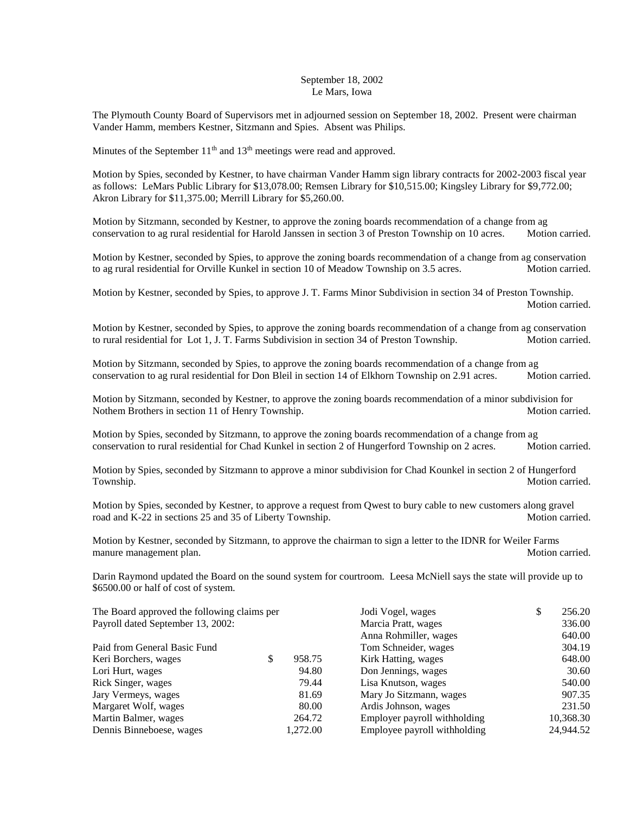## September 18, 2002 Le Mars, Iowa

The Plymouth County Board of Supervisors met in adjourned session on September 18, 2002. Present were chairman Vander Hamm, members Kestner, Sitzmann and Spies. Absent was Philips.

Minutes of the September  $11<sup>th</sup>$  and  $13<sup>th</sup>$  meetings were read and approved.

Motion by Spies, seconded by Kestner, to have chairman Vander Hamm sign library contracts for 2002-2003 fiscal year as follows: LeMars Public Library for \$13,078.00; Remsen Library for \$10,515.00; Kingsley Library for \$9,772.00; Akron Library for \$11,375.00; Merrill Library for \$5,260.00.

Motion by Sitzmann, seconded by Kestner, to approve the zoning boards recommendation of a change from ag conservation to ag rural residential for Harold Janssen in section 3 of Preston Township on 10 acres. Motion carried.

Motion by Kestner, seconded by Spies, to approve the zoning boards recommendation of a change from ag conservation to ag rural residential for Orville Kunkel in section 10 of Meadow Township on 3.5 acres. Motion carried.

Motion by Kestner, seconded by Spies, to approve J. T. Farms Minor Subdivision in section 34 of Preston Township. Motion carried.

Motion by Kestner, seconded by Spies, to approve the zoning boards recommendation of a change from ag conservation to rural residential for Lot 1, J. T. Farms Subdivision in section 34 of Preston Township. Motion carried.

Motion by Sitzmann, seconded by Spies, to approve the zoning boards recommendation of a change from ag conservation to ag rural residential for Don Bleil in section 14 of Elkhorn Township on 2.91 acres. Motion carried.

Motion by Sitzmann, seconded by Kestner, to approve the zoning boards recommendation of a minor subdivision for Nothem Brothers in section 11 of Henry Township. Motion carried. Motion carried.

Motion by Spies, seconded by Sitzmann, to approve the zoning boards recommendation of a change from ag conservation to rural residential for Chad Kunkel in section 2 of Hungerford Township on 2 acres. Motion carried.

Motion by Spies, seconded by Sitzmann to approve a minor subdivision for Chad Kounkel in section 2 of Hungerford Township. Motion carried.

Motion by Spies, seconded by Kestner, to approve a request from Qwest to bury cable to new customers along gravel road and K-22 in sections 25 and 35 of Liberty Township. Motion carried.

Motion by Kestner, seconded by Sitzmann, to approve the chairman to sign a letter to the IDNR for Weiler Farms manure management plan. The second second second second second second second second second second second second second second second second second second second second second second second second second second second secon

Darin Raymond updated the Board on the sound system for courtroom. Leesa McNiell says the state will provide up to \$6500.00 or half of cost of system.

| The Board approved the following claims per |   |          | Jodi Vogel, wages            | D | 256.20    |  |
|---------------------------------------------|---|----------|------------------------------|---|-----------|--|
| Payroll dated September 13, 2002:           |   |          | Marcia Pratt, wages          |   | 336.00    |  |
|                                             |   |          | Anna Rohmiller, wages        |   | 640.00    |  |
| Paid from General Basic Fund                |   |          | Tom Schneider, wages         |   | 304.19    |  |
| Keri Borchers, wages                        | S | 958.75   | Kirk Hatting, wages          |   | 648.00    |  |
| Lori Hurt, wages                            |   | 94.80    | Don Jennings, wages          |   | 30.60     |  |
| Rick Singer, wages                          |   | 79.44    | Lisa Knutson, wages          |   | 540.00    |  |
| Jary Vermeys, wages                         |   | 81.69    | Mary Jo Sitzmann, wages      |   | 907.35    |  |
| Margaret Wolf, wages                        |   | 80.00    | Ardis Johnson, wages         |   | 231.50    |  |
| Martin Balmer, wages                        |   | 264.72   | Employer payroll withholding |   | 10,368.30 |  |
| Dennis Binneboese, wages                    |   | 1,272.00 | Employee payroll withholding |   | 24,944.52 |  |
|                                             |   |          |                              |   |           |  |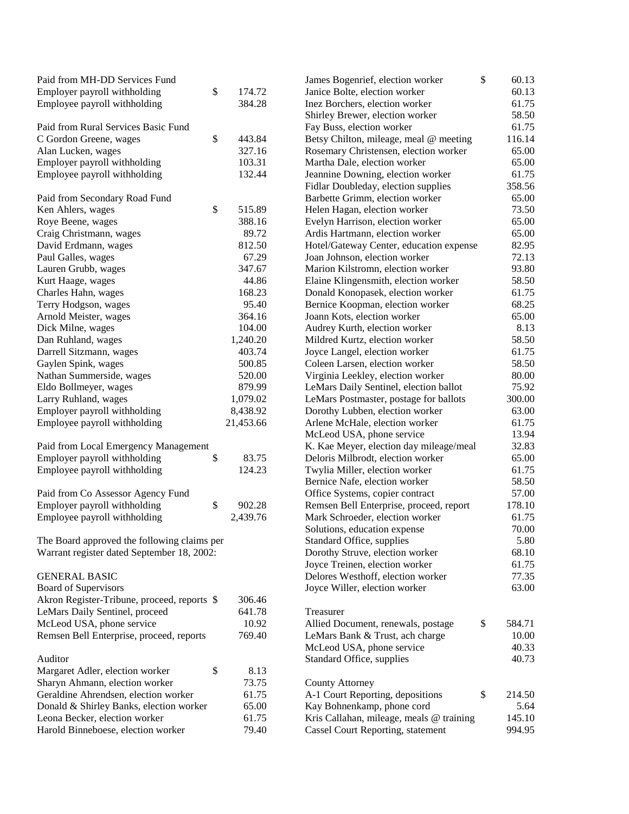| Paid from MH-DD Services Fund               |              | James Bogenrief, election worker         | \$<br>60.13  |
|---------------------------------------------|--------------|------------------------------------------|--------------|
| Employer payroll withholding                | \$<br>174.72 | Janice Bolte, election worker            | 60.13        |
| Employee payroll withholding                | 384.28       | Inez Borchers, election worker           | 61.75        |
|                                             |              | Shirley Brewer, election worker          | 58.50        |
| Paid from Rural Services Basic Fund         |              | Fay Buss, election worker                | 61.75        |
| C Gordon Greene, wages                      | \$<br>443.84 | Betsy Chilton, mileage, meal @ meeting   | 116.14       |
| Alan Lucken, wages                          | 327.16       | Rosemary Christensen, election worker    | 65.00        |
| Employer payroll withholding                | 103.31       | Martha Dale, election worker             | 65.00        |
| Employee payroll withholding                | 132.44       | Jeannine Downing, election worker        | 61.75        |
|                                             |              | Fidlar Doubleday, election supplies      | 358.56       |
| Paid from Secondary Road Fund               |              | Barbette Grimm, election worker          | 65.00        |
| Ken Ahlers, wages                           | \$<br>515.89 | Helen Hagan, election worker             | 73.50        |
| Roye Beene, wages                           | 388.16       | Evelyn Harrison, election worker         | 65.00        |
| Craig Christmann, wages                     | 89.72        | Ardis Hartmann, election worker          | 65.00        |
| David Erdmann, wages                        | 812.50       | Hotel/Gateway Center, education expense  | 82.95        |
| Paul Galles, wages                          | 67.29        | Joan Johnson, election worker            | 72.13        |
| Lauren Grubb, wages                         | 347.67       | Marion Kilstromn, election worker        | 93.80        |
| Kurt Haage, wages                           | 44.86        | Elaine Klingensmith, election worker     | 58.50        |
| Charles Hahn, wages                         | 168.23       | Donald Konopasek, election worker        | 61.75        |
| Terry Hodgson, wages                        | 95.40        | Bernice Koopman, election worker         | 68.25        |
| Arnold Meister, wages                       | 364.16       | Joann Kots, election worker              | 65.00        |
| Dick Milne, wages                           | 104.00       | Audrey Kurth, election worker            | 8.13         |
| Dan Ruhland, wages                          | 1,240.20     | Mildred Kurtz, election worker           | 58.50        |
| Darrell Sitzmann, wages                     | 403.74       | Joyce Langel, election worker            | 61.75        |
| Gaylen Spink, wages                         | 500.85       | Coleen Larsen, election worker           | 58.50        |
| Nathan Summerside, wages                    | 520.00       | Virginia Leekley, election worker        | 80.00        |
| Eldo Bollmeyer, wages                       | 879.99       | LeMars Daily Sentinel, election ballot   | 75.92        |
| Larry Ruhland, wages                        | 1,079.02     | LeMars Postmaster, postage for ballots   | 300.00       |
| Employer payroll withholding                | 8,438.92     | Dorothy Lubben, election worker          | 63.00        |
| Employee payroll withholding                | 21,453.66    | Arlene McHale, election worker           | 61.75        |
|                                             |              | McLeod USA, phone service                | 13.94        |
| Paid from Local Emergency Management        |              | K. Kae Meyer, election day mileage/meal  | 32.83        |
| Employer payroll withholding                | \$<br>83.75  | Deloris Milbrodt, election worker        | 65.00        |
| Employee payroll withholding                | 124.23       | Twylia Miller, election worker           | 61.75        |
|                                             |              | Bernice Nafe, election worker            | 58.50        |
| Paid from Co Assessor Agency Fund           |              | Office Systems, copier contract          | 57.00        |
| Employer payroll withholding                | \$<br>902.28 | Remsen Bell Enterprise, proceed, report  | 178.10       |
| Employee payroll withholding                | 2,439.76     | Mark Schroeder, election worker          | 61.75        |
|                                             |              | Solutions, education expense             | 70.00        |
| The Board approved the following claims per |              | Standard Office, supplies                | 5.80         |
| Warrant register dated September 18, 2002:  |              | Dorothy Struve, election worker          | 68.10        |
|                                             |              | Joyce Treinen, election worker           | 61.75        |
| <b>GENERAL BASIC</b>                        |              | Delores Westhoff, election worker        | 77.35        |
| Board of Supervisors                        |              | Joyce Willer, election worker            | 63.00        |
| Akron Register-Tribune, proceed, reports \$ | 306.46       |                                          |              |
| LeMars Daily Sentinel, proceed              | 641.78       | Treasurer                                |              |
| McLeod USA, phone service                   | 10.92        | Allied Document, renewals, postage       | \$<br>584.71 |
| Remsen Bell Enterprise, proceed, reports    | 769.40       | LeMars Bank & Trust, ach charge          | 10.00        |
|                                             |              | McLeod USA, phone service                | 40.33        |
| Auditor                                     |              | Standard Office, supplies                | 40.73        |
| Margaret Adler, election worker             | \$<br>8.13   |                                          |              |
| Sharyn Ahmann, election worker              | 73.75        | <b>County Attorney</b>                   |              |
| Geraldine Ahrendsen, election worker        | 61.75        | A-1 Court Reporting, depositions         | \$<br>214.50 |
| Donald & Shirley Banks, election worker     | 65.00        | Kay Bohnenkamp, phone cord               | 5.64         |
| Leona Becker, election worker               | 61.75        | Kris Callahan, mileage, meals @ training | 145.10       |
| Harold Binneboese, election worker          | 79.40        | <b>Cassel Court Reporting, statement</b> | 994.95       |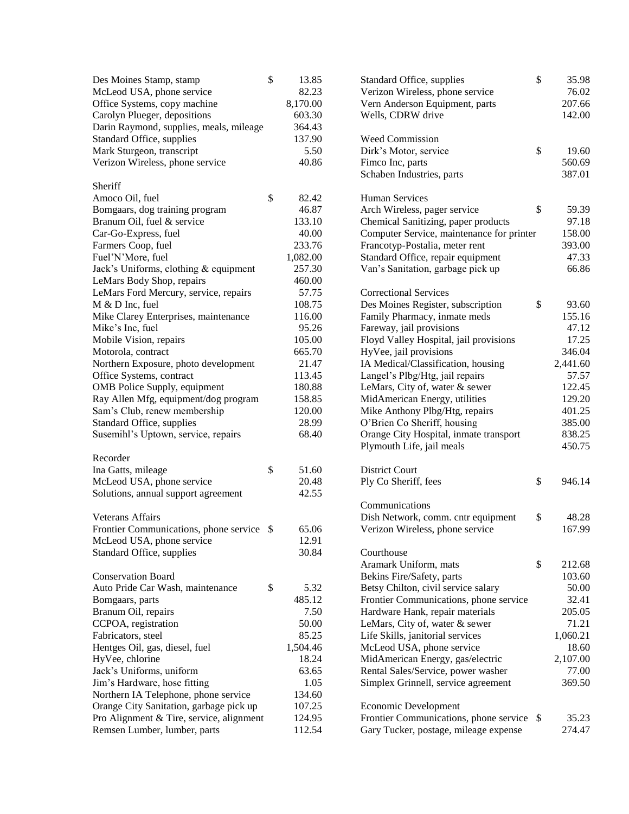| Des Moines Stamp, stamp                   | \$<br>13.85 | Standard Office, supplies                 | \$<br>35.98  |
|-------------------------------------------|-------------|-------------------------------------------|--------------|
| McLeod USA, phone service                 | 82.23       | Verizon Wireless, phone service           | 76.02        |
| Office Systems, copy machine              | 8,170.00    | Vern Anderson Equipment, parts            | 207.66       |
| Carolyn Plueger, depositions              | 603.30      | Wells, CDRW drive                         | 142.00       |
| Darin Raymond, supplies, meals, mileage   | 364.43      |                                           |              |
| Standard Office, supplies                 | 137.90      | Weed Commission                           |              |
| Mark Sturgeon, transcript                 | 5.50        | Dirk's Motor, service                     | \$<br>19.60  |
| Verizon Wireless, phone service           | 40.86       | Fimco Inc, parts                          | 560.69       |
|                                           |             | Schaben Industries, parts                 | 387.01       |
| Sheriff                                   |             |                                           |              |
| Amoco Oil, fuel                           | \$<br>82.42 | <b>Human Services</b>                     |              |
| Bomgaars, dog training program            | 46.87       | Arch Wireless, pager service              | \$<br>59.39  |
| Branum Oil, fuel & service                | 133.10      | Chemical Sanitizing, paper products       | 97.18        |
| Car-Go-Express, fuel                      | 40.00       | Computer Service, maintenance for printer | 158.00       |
| Farmers Coop, fuel                        | 233.76      | Francotyp-Postalia, meter rent            | 393.00       |
| Fuel'N'More, fuel                         | 1,082.00    | Standard Office, repair equipment         | 47.33        |
| Jack's Uniforms, clothing & equipment     | 257.30      | Van's Sanitation, garbage pick up         | 66.86        |
| LeMars Body Shop, repairs                 | 460.00      |                                           |              |
| LeMars Ford Mercury, service, repairs     | 57.75       | <b>Correctional Services</b>              |              |
|                                           |             |                                           |              |
| M & D Inc, fuel                           | 108.75      | Des Moines Register, subscription         | \$<br>93.60  |
| Mike Clarey Enterprises, maintenance      | 116.00      | Family Pharmacy, inmate meds              | 155.16       |
| Mike's Inc, fuel                          | 95.26       | Fareway, jail provisions                  | 47.12        |
| Mobile Vision, repairs                    | 105.00      | Floyd Valley Hospital, jail provisions    | 17.25        |
| Motorola, contract                        | 665.70      | HyVee, jail provisions                    | 346.04       |
| Northern Exposure, photo development      | 21.47       | IA Medical/Classification, housing        | 2,441.60     |
| Office Systems, contract                  | 113.45      | Langel's Plbg/Htg, jail repairs           | 57.57        |
| OMB Police Supply, equipment              | 180.88      | LeMars, City of, water & sewer            | 122.45       |
| Ray Allen Mfg, equipment/dog program      | 158.85      | MidAmerican Energy, utilities             | 129.20       |
| Sam's Club, renew membership              | 120.00      | Mike Anthony Plbg/Htg, repairs            | 401.25       |
| Standard Office, supplies                 | 28.99       | O'Brien Co Sheriff, housing               | 385.00       |
| Susemihl's Uptown, service, repairs       | 68.40       | Orange City Hospital, inmate transport    | 838.25       |
|                                           |             | Plymouth Life, jail meals                 | 450.75       |
| Recorder                                  |             |                                           |              |
| Ina Gatts, mileage                        | \$<br>51.60 | <b>District Court</b>                     |              |
| McLeod USA, phone service                 | 20.48       | Ply Co Sheriff, fees                      | \$<br>946.14 |
| Solutions, annual support agreement       | 42.55       |                                           |              |
|                                           |             | Communications                            |              |
| <b>Veterans Affairs</b>                   |             | Dish Network, comm. cntr equipment        | \$<br>48.28  |
| Frontier Communications, phone service \$ | 65.06       | Verizon Wireless, phone service           | 167.99       |
| McLeod USA, phone service                 | 12.91       |                                           |              |
| Standard Office, supplies                 | 30.84       | Courthouse                                |              |
|                                           |             | Aramark Uniform, mats                     | \$<br>212.68 |
| <b>Conservation Board</b>                 |             | Bekins Fire/Safety, parts                 | 103.60       |
| Auto Pride Car Wash, maintenance          | \$<br>5.32  | Betsy Chilton, civil service salary       | 50.00        |
| Bomgaars, parts                           | 485.12      | Frontier Communications, phone service    | 32.41        |
| Branum Oil, repairs                       | 7.50        | Hardware Hank, repair materials           | 205.05       |
| CCPOA, registration                       | 50.00       | LeMars, City of, water & sewer            | 71.21        |
| Fabricators, steel                        | 85.25       | Life Skills, janitorial services          | 1,060.21     |
| Hentges Oil, gas, diesel, fuel            | 1,504.46    | McLeod USA, phone service                 | 18.60        |
| HyVee, chlorine                           | 18.24       | MidAmerican Energy, gas/electric          | 2,107.00     |
| Jack's Uniforms, uniform                  | 63.65       | Rental Sales/Service, power washer        | 77.00        |
| Jim's Hardware, hose fitting              | 1.05        | Simplex Grinnell, service agreement       | 369.50       |
| Northern IA Telephone, phone service      | 134.60      |                                           |              |
| Orange City Sanitation, garbage pick up   | 107.25      | <b>Economic Development</b>               |              |
| Pro Alignment & Tire, service, alignment  | 124.95      | Frontier Communications, phone service \$ | 35.23        |
| Remsen Lumber, lumber, parts              | 112.54      | Gary Tucker, postage, mileage expense     | 274.47       |
|                                           |             |                                           |              |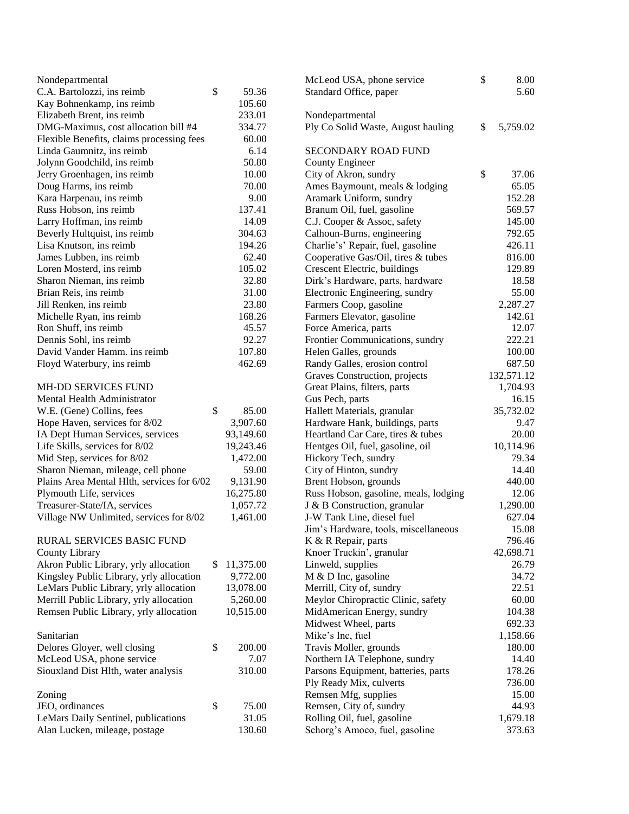| Nondepartmental                                                  |    |           | McLeod USA, phone service                                            | \$<br>8.00     |
|------------------------------------------------------------------|----|-----------|----------------------------------------------------------------------|----------------|
| C.A. Bartolozzi, ins reimb                                       | \$ | 59.36     | Standard Office, paper                                               | 5.60           |
| Kay Bohnenkamp, ins reimb                                        |    | 105.60    |                                                                      |                |
| Elizabeth Brent, ins reimb                                       |    | 233.01    | Nondepartmental                                                      |                |
| DMG-Maximus, cost allocation bill #4                             |    | 334.77    | Ply Co Solid Waste, August hauling                                   | \$<br>5,759.02 |
| Flexible Benefits, claims processing fees                        |    | 60.00     |                                                                      |                |
| Linda Gaumnitz, ins reimb                                        |    | 6.14      | <b>SECONDARY ROAD FUND</b>                                           |                |
| Jolynn Goodchild, ins reimb                                      |    | 50.80     | <b>County Engineer</b>                                               |                |
| Jerry Groenhagen, ins reimb                                      |    | 10.00     | City of Akron, sundry                                                | \$<br>37.06    |
| Doug Harms, ins reimb                                            |    | 70.00     | Ames Baymount, meals & lodging                                       | 65.05          |
| Kara Harpenau, ins reimb                                         |    | 9.00      | Aramark Uniform, sundry                                              | 152.28         |
| Russ Hobson, ins reimb                                           |    | 137.41    | Branum Oil, fuel, gasoline                                           | 569.57         |
| Larry Hoffman, ins reimb                                         |    | 14.09     | C.J. Cooper & Assoc, safety                                          | 145.00         |
| Beverly Hultquist, ins reimb                                     |    | 304.63    | Calhoun-Burns, engineering                                           | 792.65         |
| Lisa Knutson, ins reimb                                          |    | 194.26    | Charlie's' Repair, fuel, gasoline                                    | 426.11         |
| James Lubben, ins reimb                                          |    | 62.40     | Cooperative Gas/Oil, tires & tubes                                   | 816.00         |
| Loren Mosterd, ins reimb                                         |    | 105.02    | Crescent Electric, buildings                                         | 129.89         |
| Sharon Nieman, ins reimb                                         |    | 32.80     | Dirk's Hardware, parts, hardware                                     | 18.58          |
| Brian Reis, ins reimb                                            |    | 31.00     | Electronic Engineering, sundry                                       | 55.00          |
| Jill Renken, ins reimb                                           |    | 23.80     | Farmers Coop, gasoline                                               | 2,287.27       |
| Michelle Ryan, ins reimb                                         |    | 168.26    | Farmers Elevator, gasoline                                           | 142.61         |
| Ron Shuff, ins reimb                                             |    | 45.57     | Force America, parts                                                 | 12.07          |
| Dennis Sohl, ins reimb                                           |    | 92.27     | Frontier Communications, sundry                                      | 222.21         |
| David Vander Hamm. ins reimb                                     |    | 107.80    | Helen Galles, grounds                                                | 100.00         |
| Floyd Waterbury, ins reimb                                       |    | 462.69    | Randy Galles, erosion control                                        | 687.50         |
|                                                                  |    |           | Graves Construction, projects                                        | 132,571.12     |
| MH-DD SERVICES FUND                                              |    |           | Great Plains, filters, parts                                         | 1,704.93       |
| Mental Health Administrator                                      |    |           | Gus Pech, parts                                                      | 16.15          |
| W.E. (Gene) Collins, fees                                        | \$ | 85.00     | Hallett Materials, granular                                          | 35,732.02      |
| Hope Haven, services for 8/02                                    |    | 3,907.60  | Hardware Hank, buildings, parts                                      | 9.47           |
| IA Dept Human Services, services                                 |    | 93,149.60 | Heartland Car Care, tires & tubes                                    | 20.00          |
| Life Skills, services for 8/02                                   |    | 19,243.46 | Hentges Oil, fuel, gasoline, oil                                     | 10,114.96      |
| Mid Step, services for 8/02                                      |    | 1,472.00  | Hickory Tech, sundry                                                 | 79.34          |
| Sharon Nieman, mileage, cell phone                               |    | 59.00     | City of Hinton, sundry                                               | 14.40          |
| Plains Area Mental Hlth, services for 6/02                       |    | 9,131.90  | Brent Hobson, grounds                                                | 440.00         |
| Plymouth Life, services                                          |    | 16,275.80 | Russ Hobson, gasoline, meals, lodging                                | 12.06          |
| Treasurer-State/IA, services                                     |    | 1,057.72  | J & B Construction, granular                                         | 1,290.00       |
| Village NW Unlimited, services for 8/02                          |    | 1,461.00  | J-W Tank Line, diesel fuel                                           | 627.04         |
|                                                                  |    |           | Jim's Hardware, tools, miscellaneous                                 | 15.08          |
| RURAL SERVICES BASIC FUND                                        |    |           | K & R Repair, parts                                                  | 796.46         |
| <b>County Library</b>                                            |    |           | Knoer Truckin', granular                                             | 42,698.71      |
| Akron Public Library, yrly allocation                            | S. | 11,375.00 | Linweld, supplies                                                    | 26.79          |
| Kingsley Public Library, yrly allocation                         |    | 9,772.00  | M & D Inc, gasoline                                                  | 34.72          |
| LeMars Public Library, yrly allocation                           |    | 13,078.00 | Merrill, City of, sundry                                             | 22.51          |
| Merrill Public Library, yrly allocation                          |    | 5,260.00  | Meylor Chiropractic Clinic, safety                                   | 60.00          |
| Remsen Public Library, yrly allocation                           |    | 10,515.00 | MidAmerican Energy, sundry                                           | 104.38         |
|                                                                  |    |           | Midwest Wheel, parts                                                 | 692.33         |
| Sanitarian                                                       |    |           | Mike's Inc, fuel                                                     | 1,158.66       |
| Delores Gloyer, well closing                                     | \$ | 200.00    | Travis Moller, grounds                                               | 180.00         |
|                                                                  |    | 7.07      |                                                                      | 14.40          |
| McLeod USA, phone service<br>Siouxland Dist Hlth, water analysis |    | 310.00    | Northern IA Telephone, sundry<br>Parsons Equipment, batteries, parts | 178.26         |
|                                                                  |    |           |                                                                      | 736.00         |
|                                                                  |    |           | Ply Ready Mix, culverts                                              | 15.00          |
| Zoning                                                           |    |           | Remsen Mfg, supplies                                                 |                |
| JEO, ordinances                                                  | \$ | 75.00     | Remsen, City of, sundry                                              | 44.93          |
| LeMars Daily Sentinel, publications                              |    | 31.05     | Rolling Oil, fuel, gasoline                                          | 1,679.18       |
| Alan Lucken, mileage, postage                                    |    | 130.60    | Schorg's Amoco, fuel, gasoline                                       | 373.63         |